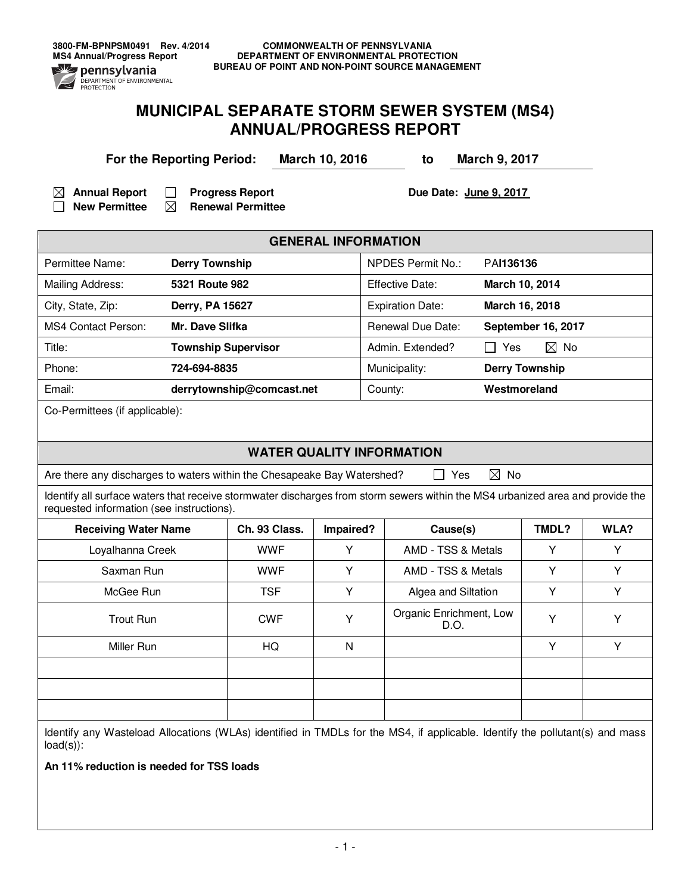DEPARTMENT OF ENVIRONMENTAL<br>PROTECTION

#### **3800-FM-BPNPSM0491 Rev. 4/2014 COMMONWEALTH OF PENNSYLVANIA**  DEPARTMENT OF ENVIRONMENTAL PROTECTION **BUREAU OF POINT AND NON-POINT SOURCE MANAGEMENT**

# **MUNICIPAL SEPARATE STORM SEWER SYSTEM (MS4) ANNUAL/PROGRESS REPORT**

**For the Reporting Period: March 10, 2016 to March 9, 2017**

 **Annual Report Progress Report Due Date: June 9, 2017** 

 **New Permittee Renewal Permittee** 

| <b>GENERAL INFORMATION</b>                                                                                                                                                  |                            |                                                   |   |  |                                 |                                                                                                                                                                                                                                |                |      |
|-----------------------------------------------------------------------------------------------------------------------------------------------------------------------------|----------------------------|---------------------------------------------------|---|--|---------------------------------|--------------------------------------------------------------------------------------------------------------------------------------------------------------------------------------------------------------------------------|----------------|------|
| Permittee Name:                                                                                                                                                             | <b>Derry Township</b>      |                                                   |   |  | <b>NPDES Permit No.:</b>        | PAI136136                                                                                                                                                                                                                      |                |      |
| <b>Mailing Address:</b>                                                                                                                                                     | 5321 Route 982             |                                                   |   |  | <b>Effective Date:</b>          | March 10, 2014                                                                                                                                                                                                                 |                |      |
| City, State, Zip:                                                                                                                                                           | Derry, PA 15627            |                                                   |   |  | <b>Expiration Date:</b>         |                                                                                                                                                                                                                                | March 16, 2018 |      |
| <b>MS4 Contact Person:</b>                                                                                                                                                  | Mr. Dave Slifka            |                                                   |   |  | <b>Renewal Due Date:</b>        | September 16, 2017                                                                                                                                                                                                             |                |      |
| Title:                                                                                                                                                                      | <b>Township Supervisor</b> |                                                   |   |  | Admin. Extended?                | $\boxtimes$ No<br>Yes<br>$\blacksquare$                                                                                                                                                                                        |                |      |
| Phone:                                                                                                                                                                      | 724-694-8835               |                                                   |   |  | Municipality:                   | <b>Derry Township</b>                                                                                                                                                                                                          |                |      |
| Email:                                                                                                                                                                      |                            | derrytownship@comcast.net                         |   |  | County:                         | Westmoreland                                                                                                                                                                                                                   |                |      |
| Co-Permittees (if applicable):                                                                                                                                              |                            |                                                   |   |  |                                 |                                                                                                                                                                                                                                |                |      |
|                                                                                                                                                                             |                            |                                                   |   |  |                                 |                                                                                                                                                                                                                                |                |      |
|                                                                                                                                                                             |                            | <b>WATER QUALITY INFORMATION</b>                  |   |  |                                 |                                                                                                                                                                                                                                |                |      |
| Are there any discharges to waters within the Chesapeake Bay Watershed?                                                                                                     |                            |                                                   |   |  | Yes<br>$\mathsf{L}$             | ⊠<br>No                                                                                                                                                                                                                        |                |      |
| Identify all surface waters that receive stormwater discharges from storm sewers within the MS4 urbanized area and provide the<br>requested information (see instructions). |                            |                                                   |   |  |                                 |                                                                                                                                                                                                                                |                |      |
| Ch. 93 Class.<br><b>Receiving Water Name</b><br>Impaired?                                                                                                                   |                            |                                                   |   |  | Cause(s)                        |                                                                                                                                                                                                                                | TMDL?          | WLA? |
| Loyalhanna Creek                                                                                                                                                            |                            | <b>WWF</b>                                        | Y |  | AMD - TSS & Metals              |                                                                                                                                                                                                                                | Y              | Y    |
| Saxman Run                                                                                                                                                                  |                            | <b>WWF</b>                                        | Y |  | AMD - TSS & Metals              |                                                                                                                                                                                                                                | Y              | Y    |
| McGee Run                                                                                                                                                                   |                            | <b>TSF</b>                                        | Y |  | Algea and Siltation             |                                                                                                                                                                                                                                | Y              | Y    |
| <b>Trout Run</b>                                                                                                                                                            |                            | <b>CWF</b>                                        | Y |  | Organic Enrichment, Low<br>D.O. |                                                                                                                                                                                                                                | Y              | Y    |
| Miller Run                                                                                                                                                                  |                            | HQ                                                | N |  |                                 |                                                                                                                                                                                                                                | Y              | Y    |
|                                                                                                                                                                             |                            |                                                   |   |  |                                 |                                                                                                                                                                                                                                |                |      |
|                                                                                                                                                                             |                            |                                                   |   |  |                                 |                                                                                                                                                                                                                                |                |      |
|                                                                                                                                                                             |                            |                                                   |   |  |                                 |                                                                                                                                                                                                                                |                |      |
| $\mathbf{M}$                                                                                                                                                                |                            | $\sqrt{1 + \frac{1}{2}}$ $\sqrt{1 + \frac{1}{2}}$ |   |  |                                 | the contract of the contract of the contract of the contract of the contract of the contract of the contract of the contract of the contract of the contract of the contract of the contract of the contract of the contract o |                |      |

Identify any Wasteload Allocations (WLAs) identified in TMDLs for the MS4, if applicable. Identify the pollutant(s) and mass load(s)):

# **An 11% reduction is needed for TSS loads**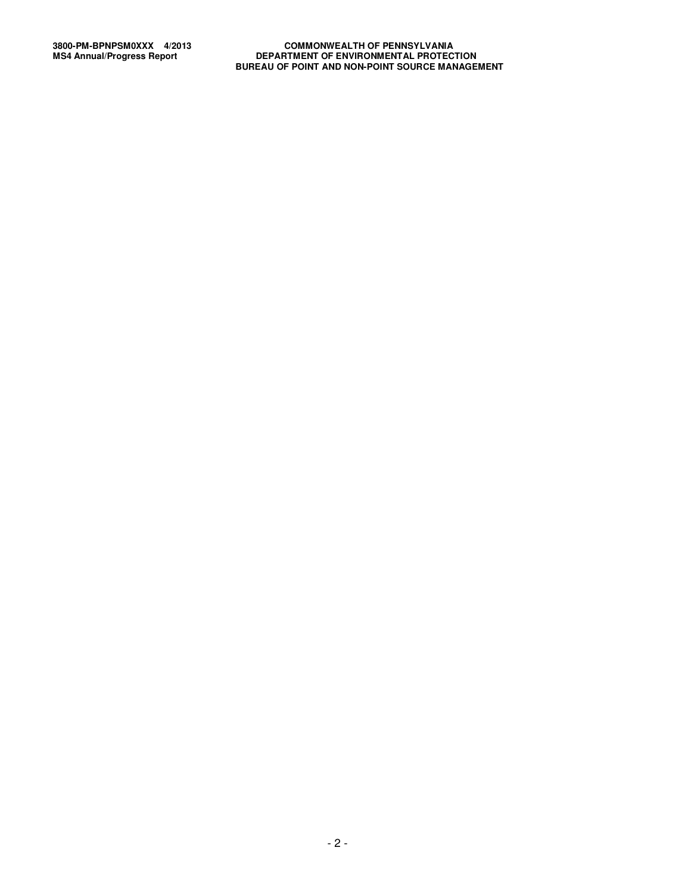#### **3800-PM-BPNPSM0XXX 4/2013 COMMONWEALTH OF PENNSYLVANIA MS4 Annual/Progress Report DEPARTMENT OF ENVIRONMENTAL PROTECTION BUREAU OF POINT AND NON-POINT SOURCE MANAGEMENT**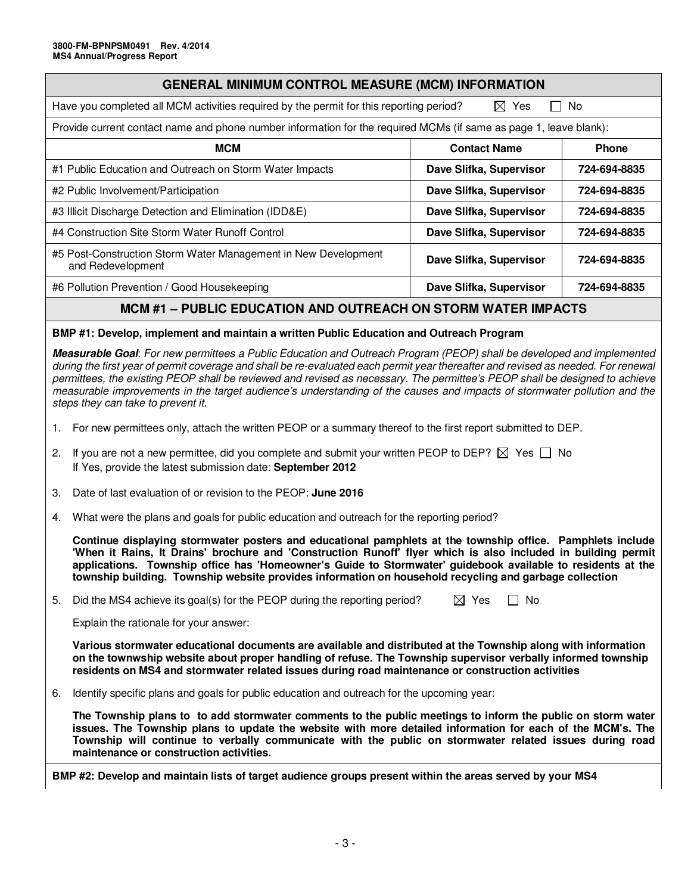### **GENERAL MINIMUM CONTROL MEASURE (MCM) INFORMATION**

Have you completed all MCM activities required by the permit for this reporting period?  $\boxtimes$  Yes  $\Box$  No

Provide current contact name and phone number information for the required MCMs (if same as page 1, leave blank):

| <b>MCM</b>                                                                          | <b>Contact Name</b>     | <b>Phone</b> |
|-------------------------------------------------------------------------------------|-------------------------|--------------|
| #1 Public Education and Outreach on Storm Water Impacts                             | Dave Slifka, Supervisor | 724-694-8835 |
| #2 Public Involvement/Participation                                                 | Dave Slifka, Supervisor | 724-694-8835 |
| #3 Illicit Discharge Detection and Elimination (IDD&E)                              | Dave Slifka, Supervisor | 724-694-8835 |
| #4 Construction Site Storm Water Runoff Control                                     | Dave Slifka, Supervisor | 724-694-8835 |
| #5 Post-Construction Storm Water Management in New Development<br>and Redevelopment | Dave Slifka, Supervisor | 724-694-8835 |
| #6 Pollution Prevention / Good Housekeeping                                         | Dave Slifka, Supervisor | 724-694-8835 |

### **MCM #1 – PUBLIC EDUCATION AND OUTREACH ON STORM WATER IMPACTS**

### **BMP #1: Develop, implement and maintain a written Public Education and Outreach Program**

**Measurable Goal**: *For new permittees a Public Education and Outreach Program (PEOP) shall be developed and implemented*  during the first year of permit coverage and shall be re-evaluated each permit year thereafter and revised as needed. For renewal *permittees, the existing PEOP shall be reviewed and revised as necessary. The permittee's PEOP shall be designed to achieve measurable improvements in the target audience's understanding of the causes and impacts of stormwater pollution and the steps they can take to prevent it.*

- 1. For new permittees only, attach the written PEOP or a summary thereof to the first report submitted to DEP.
- 2. If you are not a new permittee, did you complete and submit your written PEOP to DEP?  $\boxtimes$  Yes  $\Box$  No If Yes, provide the latest submission date: **September 2012**
- 3. Date of last evaluation of or revision to the PEOP: **June 2016**
- 4. What were the plans and goals for public education and outreach for the reporting period?

**Continue displaying stormwater posters and educational pamphlets at the township office. Pamphlets include 'When it Rains, It Drains' brochure and 'Construction Runoff' flyer which is also included in building permit applications. Township office has 'Homeowner's Guide to Stormwater' guidebook available to residents at the township building. Township website provides information on household recycling and garbage collection** 

5. Did the MS4 achieve its goal(s) for the PEOP during the reporting period?  $\boxtimes$  Yes  $\Box$  No

Explain the rationale for your answer:

**Various stormwater educational documents are available and distributed at the Township along with information on the townwship website about proper handling of refuse. The Township supervisor verbally informed township residents on MS4 and stormwater related issues during road maintenance or construction activities** 

6. Identify specific plans and goals for public education and outreach for the upcoming year:

**The Township plans to to add stormwater comments to the public meetings to inform the public on storm water issues. The Township plans to update the website with more detailed information for each of the MCM's. The Township will continue to verbally communicate with the public on stormwater related issues during road maintenance or construction activities.** 

**BMP #2: Develop and maintain lists of target audience groups present within the areas served by your MS4**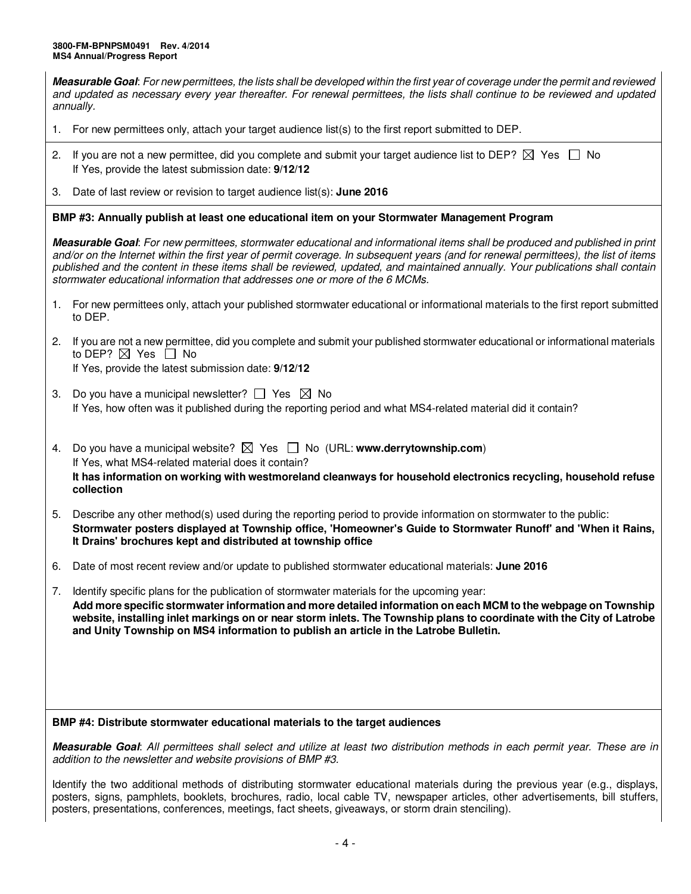**Measurable Goal**: *For new permittees, the lists shall be developed within the first year of coverage under the permit and reviewed and updated as necessary every year thereafter. For renewal permittees, the lists shall continue to be reviewed and updated annually.*

- 1. For new permittees only, attach your target audience list(s) to the first report submitted to DEP.
- 2. If you are not a new permittee, did you complete and submit your target audience list to DEP?  $\boxtimes$  Yes  $\Box$  No If Yes, provide the latest submission date: **9/12/12**
- 3. Date of last review or revision to target audience list(s): **June 2016**

### **BMP #3: Annually publish at least one educational item on your Stormwater Management Program**

**Measurable Goal**: *For new permittees, stormwater educational and informational items shall be produced and published in print and/or on the Internet within the first year of permit coverage. In subsequent years (and for renewal permittees), the list of items published and the content in these items shall be reviewed, updated, and maintained annually. Your publications shall contain stormwater educational information that addresses one or more of the 6 MCMs.*

- 1. For new permittees only, attach your published stormwater educational or informational materials to the first report submitted to DEP.
- 2. If you are not a new permittee, did you complete and submit your published stormwater educational or informational materials to DEP?  $\boxtimes$  Yes  $\Box$  No If Yes, provide the latest submission date: **9/12/12**
- 3. Do you have a municipal newsletter?  $\Box$  Yes  $\boxtimes$  No If Yes, how often was it published during the reporting period and what MS4-related material did it contain?
- 4. Do you have a municipal website?  $\boxtimes$  Yes  $\Box$  No (URL: **www.derrytownship.com**) If Yes, what MS4-related material does it contain? **It has information on working with westmoreland cleanways for household electronics recycling, household refuse collection**
- 5. Describe any other method(s) used during the reporting period to provide information on stormwater to the public: **Stormwater posters displayed at Township office, 'Homeowner's Guide to Stormwater Runoff' and 'When it Rains, It Drains' brochures kept and distributed at township office**
- 6. Date of most recent review and/or update to published stormwater educational materials: **June 2016**
- 7. Identify specific plans for the publication of stormwater materials for the upcoming year: **Add more specific stormwater information and more detailed information on each MCM to the webpage on Township website, installing inlet markings on or near storm inlets. The Township plans to coordinate with the City of Latrobe and Unity Township on MS4 information to publish an article in the Latrobe Bulletin.**

### **BMP #4: Distribute stormwater educational materials to the target audiences**

**Measurable Goal**: *All permittees shall select and utilize at least two distribution methods in each permit year. These are in addition to the newsletter and website provisions of BMP #3.*

Identify the two additional methods of distributing stormwater educational materials during the previous year (e.g., displays, posters, signs, pamphlets, booklets, brochures, radio, local cable TV, newspaper articles, other advertisements, bill stuffers, posters, presentations, conferences, meetings, fact sheets, giveaways, or storm drain stenciling).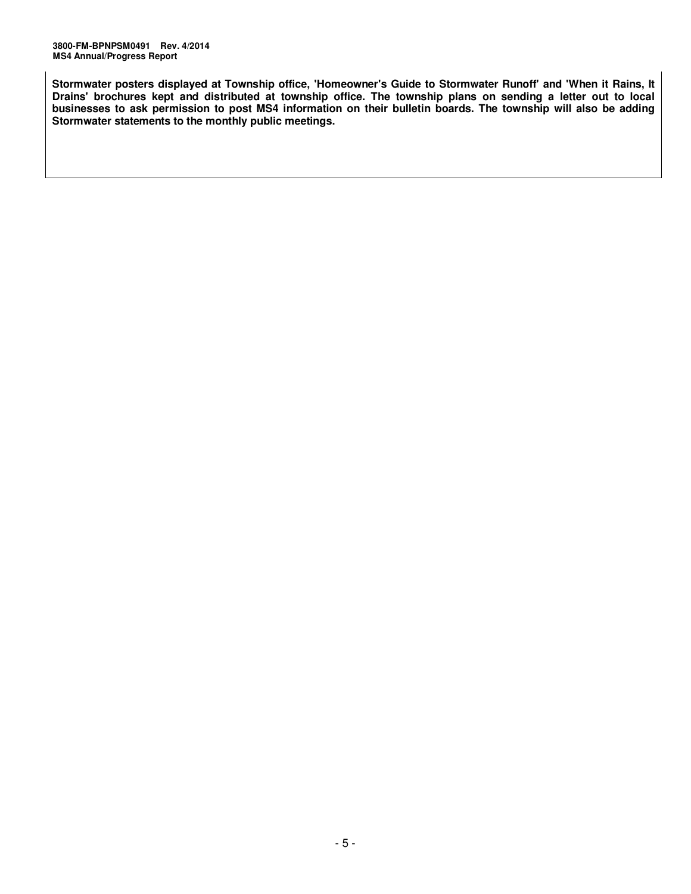**Stormwater posters displayed at Township office, 'Homeowner's Guide to Stormwater Runoff' and 'When it Rains, It Drains' brochures kept and distributed at township office. The township plans on sending a letter out to local businesses to ask permission to post MS4 information on their bulletin boards. The township will also be adding Stormwater statements to the monthly public meetings.**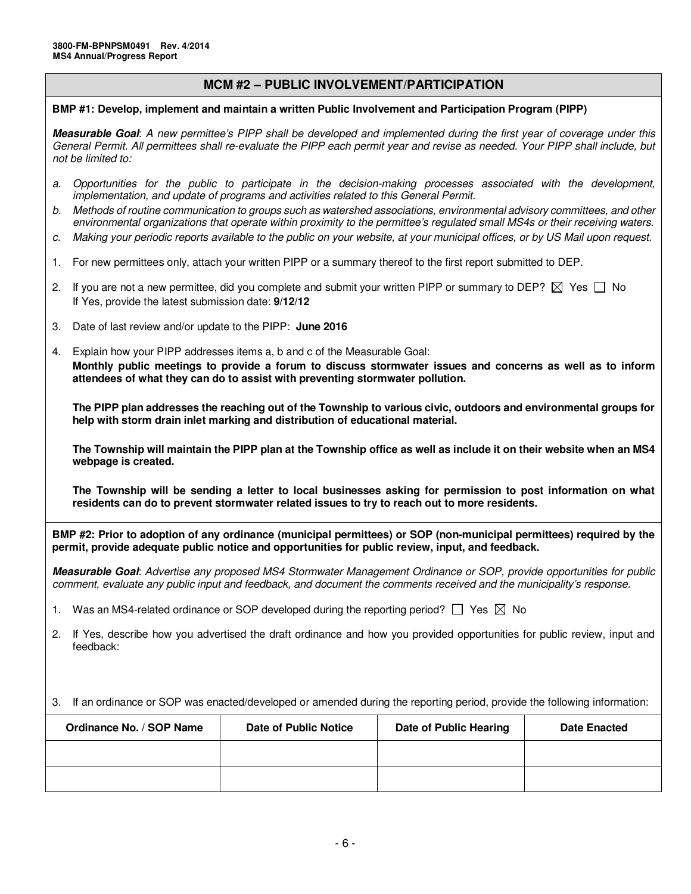## **MCM #2 – PUBLIC INVOLVEMENT/PARTICIPATION**

### **BMP #1: Develop, implement and maintain a written Public Involvement and Participation Program (PIPP)**

**Measurable Goal**: *A new permittee's PIPP shall be developed and implemented during the first year of coverage under this General Permit. All permittees shall re-evaluate the PIPP each permit year and revise as needed. Your PIPP shall include, but not be limited to:*

- *a. Opportunities for the public to participate in the decision-making processes associated with the development, implementation, and update of programs and activities related to this General Permit.*
- *b. Methods of routine communication to groups such as watershed associations, environmental advisory committees, and other environmental organizations that operate within proximity to the permittee's regulated small MS4s or their receiving waters.*
- *c. Making your periodic reports available to the public on your website, at your municipal offices, or by US Mail upon request.*
- 1. For new permittees only, attach your written PIPP or a summary thereof to the first report submitted to DEP.
- 2. If you are not a new permittee, did you complete and submit your written PIPP or summary to DEP?  $\boxtimes$  Yes  $\Box$  No If Yes, provide the latest submission date: **9/12/12**
- 3. Date of last review and/or update to the PIPP: **June 2016**

4. Explain how your PIPP addresses items a, b and c of the Measurable Goal: **Monthly public meetings to provide a forum to discuss stormwater issues and concerns as well as to inform attendees of what they can do to assist with preventing stormwater pollution.** 

**The PIPP plan addresses the reaching out of the Township to various civic, outdoors and environmental groups for help with storm drain inlet marking and distribution of educational material.** 

**The Township will maintain the PIPP plan at the Township office as well as include it on their website when an MS4 webpage is created.** 

**The Township will be sending a letter to local businesses asking for permission to post information on what residents can do to prevent stormwater related issues to try to reach out to more residents.**

**BMP #2: Prior to adoption of any ordinance (municipal permittees) or SOP (non-municipal permittees) required by the permit, provide adequate public notice and opportunities for public review, input, and feedback.**

**Measurable Goal**: *Advertise any proposed MS4 Stormwater Management Ordinance or SOP, provide opportunities for public comment, evaluate any public input and feedback, and document the comments received and the municipality's response.*

- 1. Was an MS4-related ordinance or SOP developed during the reporting period?  $\Box$  Yes  $\boxtimes$  No
- 2. If Yes, describe how you advertised the draft ordinance and how you provided opportunities for public review, input and feedback:

3. If an ordinance or SOP was enacted/developed or amended during the reporting period, provide the following information:

| Ordinance No. / SOP Name | Date of Public Notice | Date of Public Hearing | <b>Date Enacted</b> |
|--------------------------|-----------------------|------------------------|---------------------|
|                          |                       |                        |                     |
|                          |                       |                        |                     |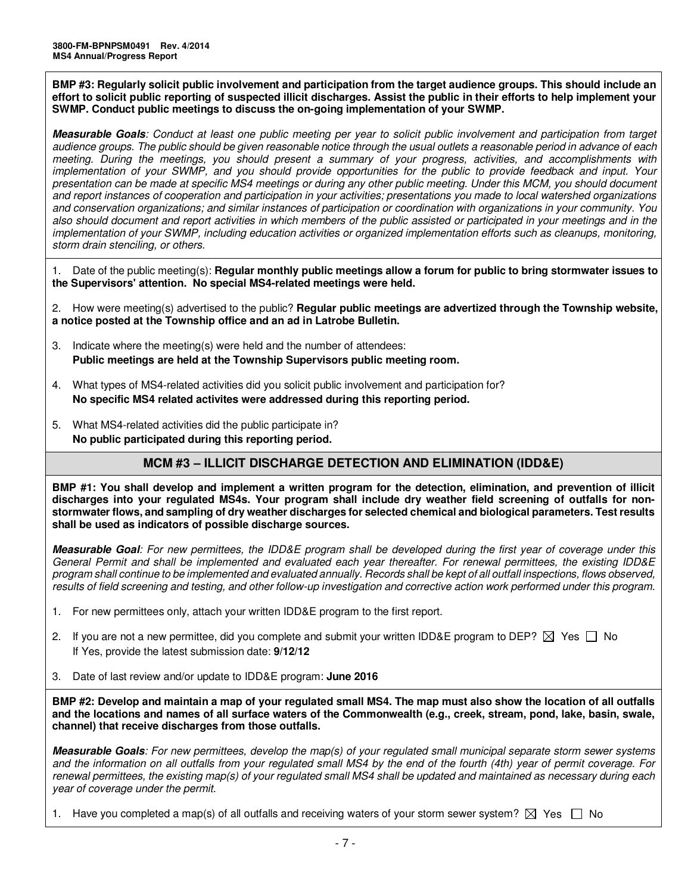**BMP #3: Regularly solicit public involvement and participation from the target audience groups. This should include an effort to solicit public reporting of suspected illicit discharges. Assist the public in their efforts to help implement your SWMP. Conduct public meetings to discuss the on-going implementation of your SWMP.**

**Measurable Goals***: Conduct at least one public meeting per year to solicit public involvement and participation from target audience groups. The public should be given reasonable notice through the usual outlets a reasonable period in advance of each meeting. During the meetings, you should present a summary of your progress, activities, and accomplishments with implementation of your SWMP, and you should provide opportunities for the public to provide feedback and input. Your presentation can be made at specific MS4 meetings or during any other public meeting. Under this MCM, you should document and report instances of cooperation and participation in your activities; presentations you made to local watershed organizations and conservation organizations; and similar instances of participation or coordination with organizations in your community. You also should document and report activities in which members of the public assisted or participated in your meetings and in the implementation of your SWMP, including education activities or organized implementation efforts such as cleanups, monitoring, storm drain stenciling, or others.*

1. Date of the public meeting(s): **Regular monthly public meetings allow a forum for public to bring stormwater issues to the Supervisors' attention. No special MS4-related meetings were held.**

2. How were meeting(s) advertised to the public? **Regular public meetings are advertized through the Township website, a notice posted at the Township office and an ad in Latrobe Bulletin.**

- 3. Indicate where the meeting(s) were held and the number of attendees: **Public meetings are held at the Township Supervisors public meeting room.**
- 4. What types of MS4-related activities did you solicit public involvement and participation for? **No specific MS4 related activites were addressed during this reporting period.**
- 5. What MS4-related activities did the public participate in? **No public participated during this reporting period.**

# **MCM #3 – ILLICIT DISCHARGE DETECTION AND ELIMINATION (IDD&E)**

**BMP #1: You shall develop and implement a written program for the detection, elimination, and prevention of illicit discharges into your regulated MS4s. Your program shall include dry weather field screening of outfalls for nonstormwater flows, and sampling of dry weather discharges for selected chemical and biological parameters. Test results shall be used as indicators of possible discharge sources.** 

**Measurable Goal***: For new permittees, the IDD&E program shall be developed during the first year of coverage under this General Permit and shall be implemented and evaluated each year thereafter. For renewal permittees, the existing IDD&E program shall continue to be implemented and evaluated annually. Records shall be kept of all outfall inspections, flows observed, results of field screening and testing, and other follow-up investigation and corrective action work performed under this program.*

- 1. For new permittees only, attach your written IDD&E program to the first report.
- 2. If you are not a new permittee, did you complete and submit your written IDD&E program to DEP?  $\boxtimes$  Yes  $\Box$  No If Yes, provide the latest submission date: **9/12/12**
- 3. Date of last review and/or update to IDD&E program: **June 2016**

**BMP #2: Develop and maintain a map of your regulated small MS4. The map must also show the location of all outfalls and the locations and names of all surface waters of the Commonwealth (e.g., creek, stream, pond, lake, basin, swale, channel) that receive discharges from those outfalls.**

**Measurable Goals***: For new permittees, develop the map(s) of your regulated small municipal separate storm sewer systems and the information on all outfalls from your regulated small MS4 by the end of the fourth (4th) year of permit coverage. For renewal permittees, the existing map(s) of your regulated small MS4 shall be updated and maintained as necessary during each year of coverage under the permit.*

1. Have you completed a map(s) of all outfalls and receiving waters of your storm sewer system?  $\boxtimes$  Yes  $\Box$  No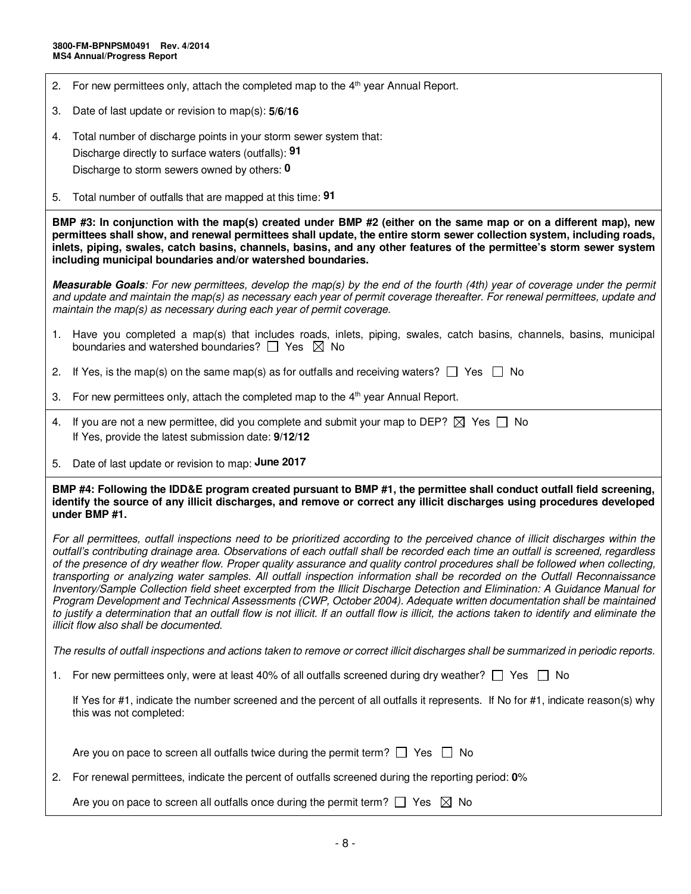- 2. For new permittees only, attach the completed map to the  $4<sup>th</sup>$  year Annual Report.
- 3. Date of last update or revision to map(s): **5/6/16**
- 4. Total number of discharge points in your storm sewer system that: Discharge directly to surface waters (outfalls): **91**  Discharge to storm sewers owned by others: **0**
- 5. Total number of outfalls that are mapped at this time: **91**

**BMP #3: In conjunction with the map(s) created under BMP #2 (either on the same map or on a different map), new permittees shall show, and renewal permittees shall update, the entire storm sewer collection system, including roads, inlets, piping, swales, catch basins, channels, basins, and any other features of the permittee's storm sewer system including municipal boundaries and/or watershed boundaries.**

**Measurable Goals***: For new permittees, develop the map(s) by the end of the fourth (4th) year of coverage under the permit and update and maintain the map(s) as necessary each year of permit coverage thereafter. For renewal permittees, update and maintain the map(s) as necessary during each year of permit coverage.*

- 1. Have you completed a map(s) that includes roads, inlets, piping, swales, catch basins, channels, basins, municipal boundaries and watershed boundaries?  $\Box$  Yes  $\boxtimes$  No
- 2. If Yes, is the map(s) on the same map(s) as for outfalls and receiving waters?  $\Box$  Yes  $\Box$  No
- 3. For new permittees only, attach the completed map to the  $4<sup>th</sup>$  year Annual Report.
- 4. If you are not a new permittee, did you complete and submit your map to DEP?  $\boxtimes$  Yes  $\Box$  No If Yes, provide the latest submission date: **9/12/12**
- 5. Date of last update or revision to map: **June 2017**

**BMP #4: Following the IDD&E program created pursuant to BMP #1, the permittee shall conduct outfall field screening, identify the source of any illicit discharges, and remove or correct any illicit discharges using procedures developed under BMP #1.**

*For all permittees, outfall inspections need to be prioritized according to the perceived chance of illicit discharges within the outfall's contributing drainage area. Observations of each outfall shall be recorded each time an outfall is screened, regardless of the presence of dry weather flow. Proper quality assurance and quality control procedures shall be followed when collecting, transporting or analyzing water samples. All outfall inspection information shall be recorded on the Outfall Reconnaissance Inventory/Sample Collection field sheet excerpted from the Illicit Discharge Detection and Elimination: A Guidance Manual for Program Development and Technical Assessments (CWP, October 2004). Adequate written documentation shall be maintained*  to justify a determination that an outfall flow is not illicit. If an outfall flow is illicit, the actions taken to identify and eliminate the *illicit flow also shall be documented.*

*The results of outfall inspections and actions taken to remove or correct illicit discharges shall be summarized in periodic reports.*

1. For new permittees only, were at least 40% of all outfalls screened during dry weather?  $\Box$  Yes  $\Box$  No

| If Yes for #1, indicate the number screened and the percent of all outfalls it represents. If No for #1, indicate reason(s) why |  |
|---------------------------------------------------------------------------------------------------------------------------------|--|
| this was not completed:                                                                                                         |  |

Are you on pace to screen all outfalls twice during the permit term?  $\Box$  Yes  $\Box$  No

2. For renewal permittees, indicate the percent of outfalls screened during the reporting period: **0**%

Are you on pace to screen all outfalls once during the permit term?  $\Box$  Yes  $\boxtimes$  No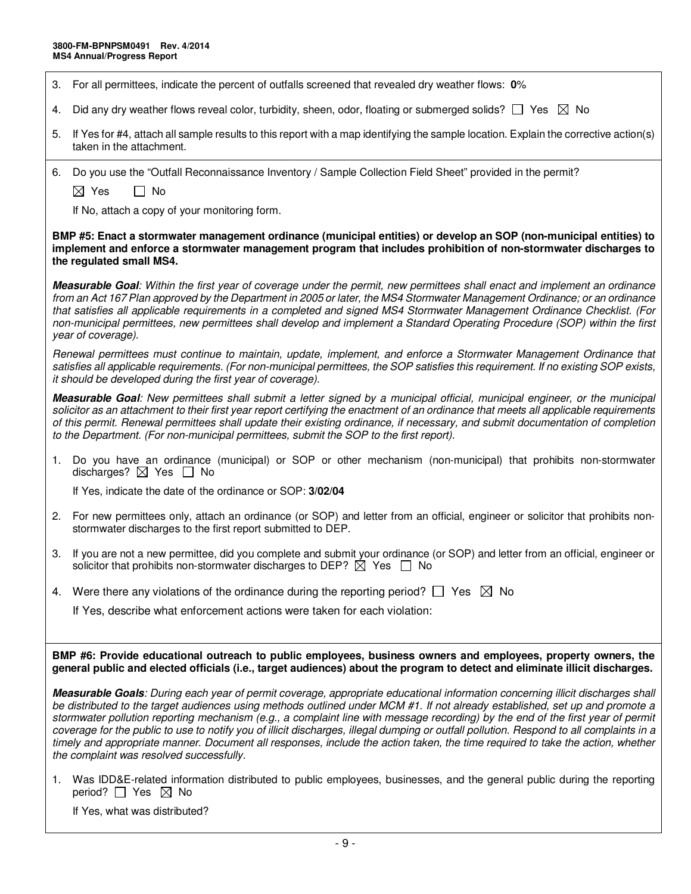#### **3800-FM-BPNPSM0491 Rev. 4/2014 MS4 Annual/Progress Report**

|  |  |  | 3. For all permittees, indicate the percent of outfalls screened that revealed dry weather flows: 0% |  |  |  |
|--|--|--|------------------------------------------------------------------------------------------------------|--|--|--|
|--|--|--|------------------------------------------------------------------------------------------------------|--|--|--|

4. Did any dry weather flows reveal color, turbidity, sheen, odor, floating or submerged solids?  $\Box$  Yes  $\boxtimes$  No

- 5. If Yes for #4, attach all sample results to this report with a map identifying the sample location. Explain the corrective action(s) taken in the attachment.
- 6. Do you use the "Outfall Reconnaissance Inventory / Sample Collection Field Sheet" provided in the permit?

 $\boxtimes$  Yes  $\Box$  No

If No, attach a copy of your monitoring form.

**BMP #5: Enact a stormwater management ordinance (municipal entities) or develop an SOP (non-municipal entities) to implement and enforce a stormwater management program that includes prohibition of non-stormwater discharges to the regulated small MS4.**

**Measurable Goal***: Within the first year of coverage under the permit, new permittees shall enact and implement an ordinance from an Act 167 Plan approved by the Department in 2005 or later, the MS4 Stormwater Management Ordinance; or an ordinance that satisfies all applicable requirements in a completed and signed MS4 Stormwater Management Ordinance Checklist. (For non-municipal permittees, new permittees shall develop and implement a Standard Operating Procedure (SOP) within the first year of coverage).* 

*Renewal permittees must continue to maintain, update, implement, and enforce a Stormwater Management Ordinance that satisfies all applicable requirements. (For non-municipal permittees, the SOP satisfies this requirement. If no existing SOP exists, it should be developed during the first year of coverage).* 

**Measurable Goal***: New permittees shall submit a letter signed by a municipal official, municipal engineer, or the municipal solicitor as an attachment to their first year report certifying the enactment of an ordinance that meets all applicable requirements of this permit. Renewal permittees shall update their existing ordinance, if necessary, and submit documentation of completion to the Department. (For non-municipal permittees, submit the SOP to the first report).*

1. Do you have an ordinance (municipal) or SOP or other mechanism (non-municipal) that prohibits non-stormwater discharges?  $\boxtimes$  Yes  $\Box$  No

If Yes, indicate the date of the ordinance or SOP: **3/02/04**

- 2. For new permittees only, attach an ordinance (or SOP) and letter from an official, engineer or solicitor that prohibits nonstormwater discharges to the first report submitted to DEP.
- 3. If you are not a new permittee, did you complete and submit your ordinance (or SOP) and letter from an official, engineer or solicitor that prohibits non-stormwater discharges to DEP?  $\boxtimes$  Yes  $\Box$  No
- 4. Were there any violations of the ordinance during the reporting period?  $\Box$  Yes  $\boxtimes$  No

If Yes, describe what enforcement actions were taken for each violation:

**BMP #6: Provide educational outreach to public employees, business owners and employees, property owners, the general public and elected officials (i.e., target audiences) about the program to detect and eliminate illicit discharges.**

**Measurable Goals***: During each year of permit coverage, appropriate educational information concerning illicit discharges shall be distributed to the target audiences using methods outlined under MCM #1. If not already established, set up and promote a stormwater pollution reporting mechanism (e.g., a complaint line with message recording) by the end of the first year of permit coverage for the public to use to notify you of illicit discharges, illegal dumping or outfall pollution. Respond to all complaints in a timely and appropriate manner. Document all responses, include the action taken, the time required to take the action, whether the complaint was resolved successfully.*

1. Was IDD&E-related information distributed to public employees, businesses, and the general public during the reporting period?  $\Box$  Yes  $\boxtimes$  No

If Yes, what was distributed?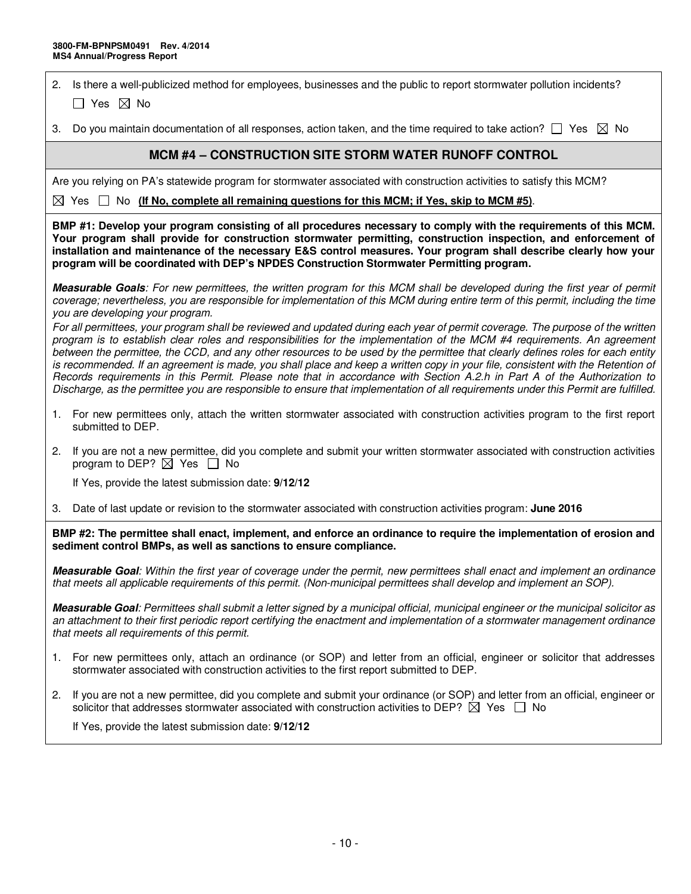#### **3800-FM-BPNPSM0491 Rev. 4/2014 MS4 Annual/Progress Report**

2. Is there a well-publicized method for employees, businesses and the public to report stormwater pollution incidents?

 $\Box$  Yes  $\boxtimes$  No

3. Do you maintain documentation of all responses, action taken, and the time required to take action?  $\Box$  Yes  $\boxtimes$  No

# **MCM #4 – CONSTRUCTION SITE STORM WATER RUNOFF CONTROL**

Are you relying on PA's statewide program for stormwater associated with construction activities to satisfy this MCM?

### $\boxtimes$  Yes  $\Box$  No (If No, complete all remaining questions for this MCM; if Yes, skip to MCM #5).

**BMP #1: Develop your program consisting of all procedures necessary to comply with the requirements of this MCM. Your program shall provide for construction stormwater permitting, construction inspection, and enforcement of installation and maintenance of the necessary E&S control measures. Your program shall describe clearly how your program will be coordinated with DEP's NPDES Construction Stormwater Permitting program.**

**Measurable Goals***: For new permittees, the written program for this MCM shall be developed during the first year of permit coverage; nevertheless, you are responsible for implementation of this MCM during entire term of this permit, including the time you are developing your program.* 

*For all permittees, your program shall be reviewed and updated during each year of permit coverage. The purpose of the written program is to establish clear roles and responsibilities for the implementation of the MCM #4 requirements. An agreement between the permittee, the CCD, and any other resources to be used by the permittee that clearly defines roles for each entity*  is recommended. If an agreement is made, you shall place and keep a written copy in your file, consistent with the Retention of *Records requirements in this Permit. Please note that in accordance with Section A.2.h in Part A of the Authorization to Discharge, as the permittee you are responsible to ensure that implementation of all requirements under this Permit are fulfilled.*

- 1. For new permittees only, attach the written stormwater associated with construction activities program to the first report submitted to DEP.
- 2. If you are not a new permittee, did you complete and submit your written stormwater associated with construction activities program to DEP?  $\boxtimes$  Yes  $\Box$  No

If Yes, provide the latest submission date: **9/12/12**

3. Date of last update or revision to the stormwater associated with construction activities program: **June 2016**

**BMP #2: The permittee shall enact, implement, and enforce an ordinance to require the implementation of erosion and sediment control BMPs, as well as sanctions to ensure compliance.**

**Measurable Goal***: Within the first year of coverage under the permit, new permittees shall enact and implement an ordinance that meets all applicable requirements of this permit. (Non-municipal permittees shall develop and implement an SOP).*

**Measurable Goal***: Permittees shall submit a letter signed by a municipal official, municipal engineer or the municipal solicitor as an attachment to their first periodic report certifying the enactment and implementation of a stormwater management ordinance that meets all requirements of this permit.*

- 1. For new permittees only, attach an ordinance (or SOP) and letter from an official, engineer or solicitor that addresses stormwater associated with construction activities to the first report submitted to DEP.
- 2. If you are not a new permittee, did you complete and submit your ordinance (or SOP) and letter from an official, engineer or solicitor that addresses stormwater associated with construction activities to DEP?  $\boxtimes$  Yes  $\Box$  No

If Yes, provide the latest submission date: **9/12/12**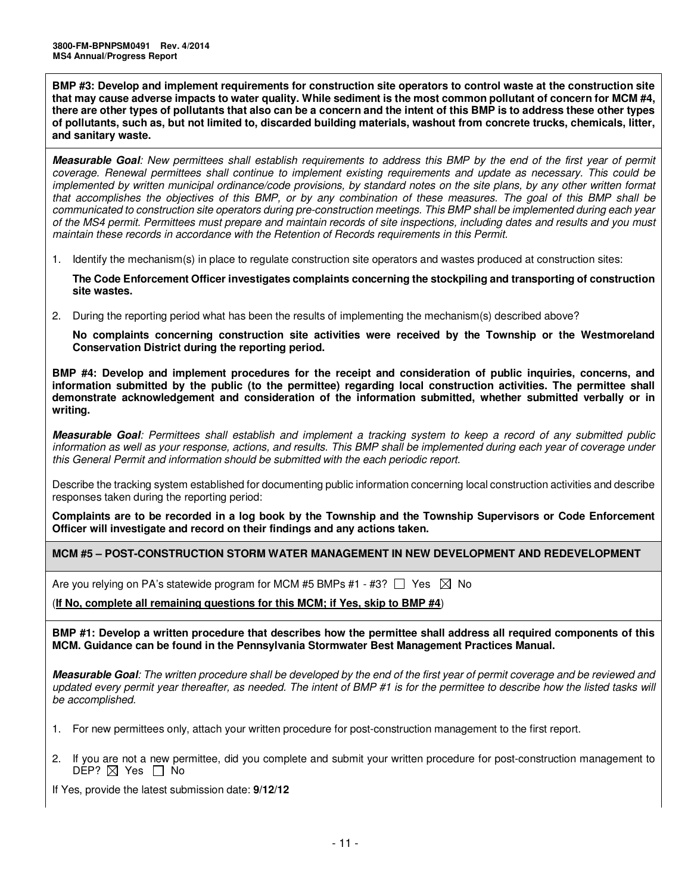**BMP #3: Develop and implement requirements for construction site operators to control waste at the construction site that may cause adverse impacts to water quality. While sediment is the most common pollutant of concern for MCM #4, there are other types of pollutants that also can be a concern and the intent of this BMP is to address these other types of pollutants, such as, but not limited to, discarded building materials, washout from concrete trucks, chemicals, litter, and sanitary waste.**

**Measurable Goal***: New permittees shall establish requirements to address this BMP by the end of the first year of permit coverage. Renewal permittees shall continue to implement existing requirements and update as necessary. This could be* implemented by written municipal ordinance/code provisions, by standard notes on the site plans, by any other written format *that accomplishes the objectives of this BMP, or by any combination of these measures. The goal of this BMP shall be communicated to construction site operators during pre-construction meetings. This BMP shall be implemented during each year of the MS4 permit. Permittees must prepare and maintain records of site inspections, including dates and results and you must maintain these records in accordance with the Retention of Records requirements in this Permit.*

1. Identify the mechanism(s) in place to regulate construction site operators and wastes produced at construction sites:

**The Code Enforcement Officer investigates complaints concerning the stockpiling and transporting of construction site wastes.** 

2. During the reporting period what has been the results of implementing the mechanism(s) described above?

**No complaints concerning construction site activities were received by the Township or the Westmoreland Conservation District during the reporting period.** 

**BMP #4: Develop and implement procedures for the receipt and consideration of public inquiries, concerns, and information submitted by the public (to the permittee) regarding local construction activities. The permittee shall demonstrate acknowledgement and consideration of the information submitted, whether submitted verbally or in writing.**

**Measurable Goal***: Permittees shall establish and implement a tracking system to keep a record of any submitted public information as well as your response, actions, and results. This BMP shall be implemented during each year of coverage under this General Permit and information should be submitted with the each periodic report.*

Describe the tracking system established for documenting public information concerning local construction activities and describe responses taken during the reporting period:

**Complaints are to be recorded in a log book by the Township and the Township Supervisors or Code Enforcement Officer will investigate and record on their findings and any actions taken.** 

# **MCM #5 – POST-CONSTRUCTION STORM WATER MANAGEMENT IN NEW DEVELOPMENT AND REDEVELOPMENT**

Are you relying on PA's statewide program for MCM #5 BMPs #1 - #3?  $\Box$  Yes  $\boxtimes$  No

(**If No, complete all remaining questions for this MCM; if Yes, skip to BMP #4**)

**BMP #1: Develop a written procedure that describes how the permittee shall address all required components of this MCM. Guidance can be found in the Pennsylvania Stormwater Best Management Practices Manual.**

**Measurable Goal***: The written procedure shall be developed by the end of the first year of permit coverage and be reviewed and*  updated every permit year thereafter, as needed. The intent of BMP #1 is for the permittee to describe how the listed tasks will *be accomplished.*

- 1. For new permittees only, attach your written procedure for post-construction management to the first report.
- 2. If you are not a new permittee, did you complete and submit your written procedure for post-construction management to DEP?  $\boxtimes$  Yes  $\Box$  No

If Yes, provide the latest submission date: **9/12/12**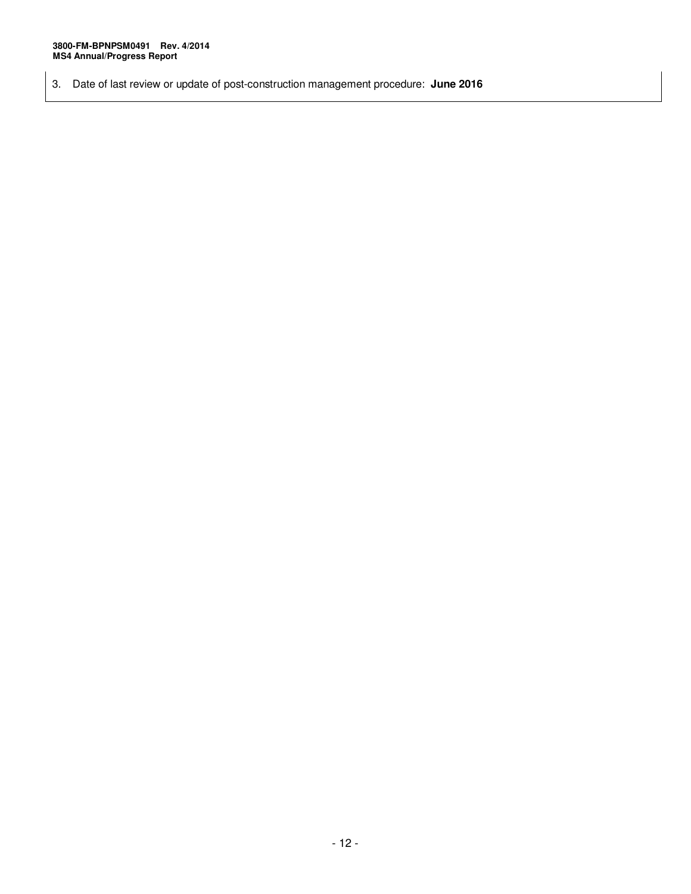3. Date of last review or update of post-construction management procedure: **June 2016**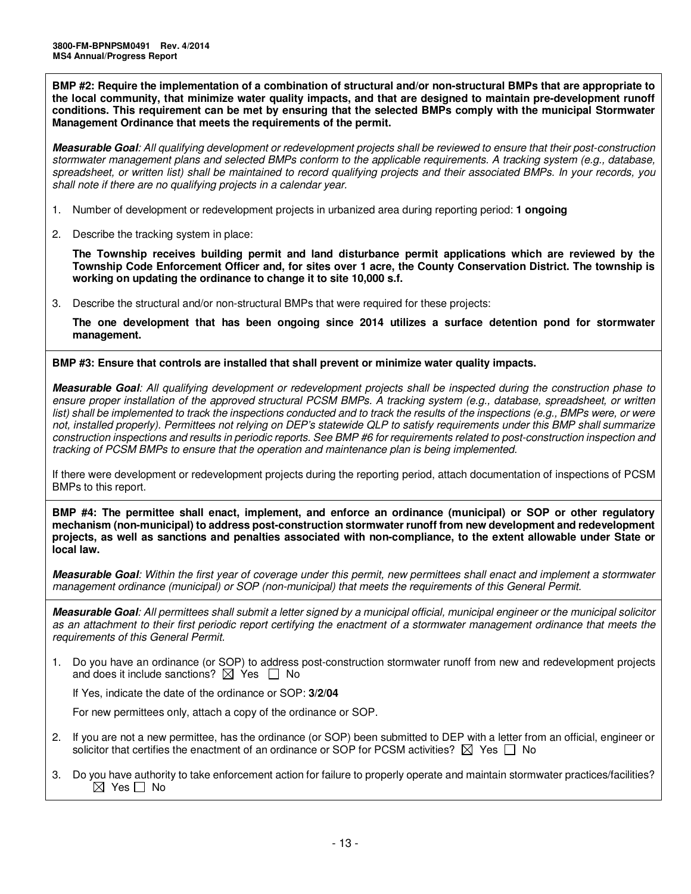**BMP #2: Require the implementation of a combination of structural and/or non-structural BMPs that are appropriate to the local community, that minimize water quality impacts, and that are designed to maintain pre-development runoff conditions. This requirement can be met by ensuring that the selected BMPs comply with the municipal Stormwater Management Ordinance that meets the requirements of the permit.**

**Measurable Goal***: All qualifying development or redevelopment projects shall be reviewed to ensure that their post-construction stormwater management plans and selected BMPs conform to the applicable requirements. A tracking system (e.g., database, spreadsheet, or written list) shall be maintained to record qualifying projects and their associated BMPs. In your records, you shall note if there are no qualifying projects in a calendar year.*

- 1. Number of development or redevelopment projects in urbanized area during reporting period: **1 ongoing**
- 2. Describe the tracking system in place:

**The Township receives building permit and land disturbance permit applications which are reviewed by the Township Code Enforcement Officer and, for sites over 1 acre, the County Conservation District. The township is working on updating the ordinance to change it to site 10,000 s.f.** 

3. Describe the structural and/or non-structural BMPs that were required for these projects:

**The one development that has been ongoing since 2014 utilizes a surface detention pond for stormwater management.**

**BMP #3: Ensure that controls are installed that shall prevent or minimize water quality impacts.**

**Measurable Goal***: All qualifying development or redevelopment projects shall be inspected during the construction phase to ensure proper installation of the approved structural PCSM BMPs. A tracking system (e.g., database, spreadsheet, or written list)* shall be implemented to track the inspections conducted and to track the results of the inspections (e.g., BMPs were, or were *not, installed properly). Permittees not relying on DEP's statewide QLP to satisfy requirements under this BMP shall summarize construction inspections and results in periodic reports. See BMP #6 for requirements related to post-construction inspection and tracking of PCSM BMPs to ensure that the operation and maintenance plan is being implemented.*

If there were development or redevelopment projects during the reporting period, attach documentation of inspections of PCSM BMPs to this report.

**BMP #4: The permittee shall enact, implement, and enforce an ordinance (municipal) or SOP or other regulatory mechanism (non-municipal) to address post-construction stormwater runoff from new development and redevelopment projects, as well as sanctions and penalties associated with non-compliance, to the extent allowable under State or local law.**

**Measurable Goal***: Within the first year of coverage under this permit, new permittees shall enact and implement a stormwater management ordinance (municipal) or SOP (non-municipal) that meets the requirements of this General Permit.*

**Measurable Goal***: All permittees shall submit a letter signed by a municipal official, municipal engineer or the municipal solicitor as an attachment to their first periodic report certifying the enactment of a stormwater management ordinance that meets the requirements of this General Permit.*

1. Do you have an ordinance (or SOP) to address post-construction stormwater runoff from new and redevelopment projects and does it include sanctions?  $\boxtimes$  Yes  $\Box$  No

If Yes, indicate the date of the ordinance or SOP: **3/2/04**

For new permittees only, attach a copy of the ordinance or SOP.

- 2. If you are not a new permittee, has the ordinance (or SOP) been submitted to DEP with a letter from an official, engineer or solicitor that certifies the enactment of an ordinance or SOP for PCSM activities?  $\boxtimes$  Yes  $\Box$  No
- 3. Do you have authority to take enforcement action for failure to properly operate and maintain stormwater practices/facilities?  $\boxtimes$  Yes  $\Box$  No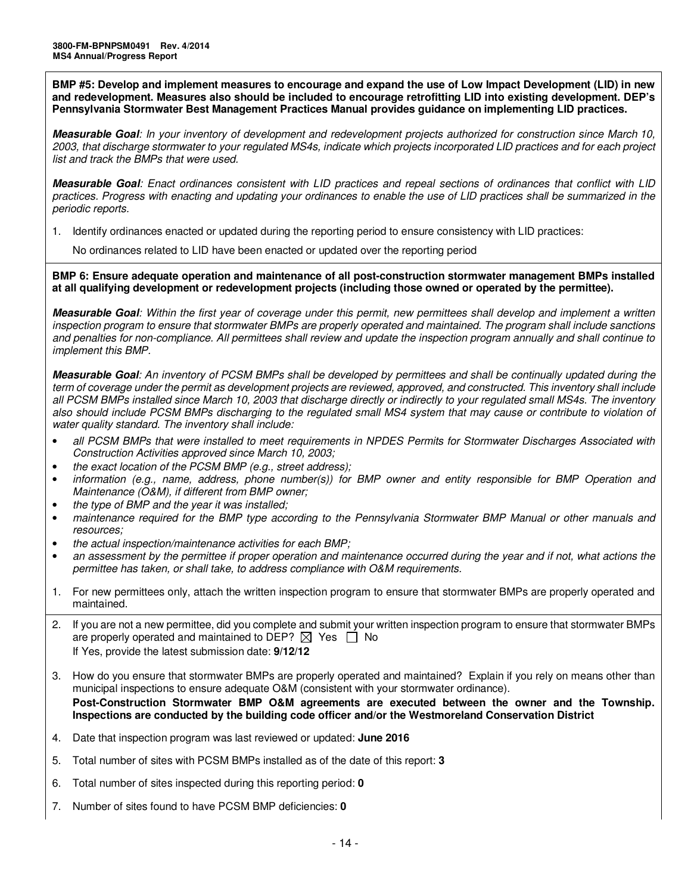**BMP #5: Develop and implement measures to encourage and expand the use of Low Impact Development (LID) in new and redevelopment. Measures also should be included to encourage retrofitting LID into existing development. DEP's Pennsylvania Stormwater Best Management Practices Manual provides guidance on implementing LID practices.**

**Measurable Goal***: In your inventory of development and redevelopment projects authorized for construction since March 10, 2003, that discharge stormwater to your regulated MS4s, indicate which projects incorporated LID practices and for each project list and track the BMPs that were used.*

**Measurable Goal***: Enact ordinances consistent with LID practices and repeal sections of ordinances that conflict with LID practices. Progress with enacting and updating your ordinances to enable the use of LID practices shall be summarized in the periodic reports.*

1. Identify ordinances enacted or updated during the reporting period to ensure consistency with LID practices:

No ordinances related to LID have been enacted or updated over the reporting period

### **BMP 6: Ensure adequate operation and maintenance of all post-construction stormwater management BMPs installed at all qualifying development or redevelopment projects (including those owned or operated by the permittee).**

**Measurable Goal***: Within the first year of coverage under this permit, new permittees shall develop and implement a written inspection program to ensure that stormwater BMPs are properly operated and maintained. The program shall include sanctions and penalties for non-compliance. All permittees shall review and update the inspection program annually and shall continue to implement this BMP.*

**Measurable Goal***: An inventory of PCSM BMPs shall be developed by permittees and shall be continually updated during the term of coverage under the permit as development projects are reviewed, approved, and constructed. This inventory shall include all PCSM BMPs installed since March 10, 2003 that discharge directly or indirectly to your regulated small MS4s. The inventory also should include PCSM BMPs discharging to the regulated small MS4 system that may cause or contribute to violation of water quality standard. The inventory shall include:* 

- *all PCSM BMPs that were installed to meet requirements in NPDES Permits for Stormwater Discharges Associated with Construction Activities approved since March 10, 2003;*
- *the exact location of the PCSM BMP (e.g., street address);*
- *information (e.g., name, address, phone number(s)) for BMP owner and entity responsible for BMP Operation and Maintenance (O&M), if different from BMP owner;*
- *the type of BMP and the year it was installed;*
- *maintenance required for the BMP type according to the Pennsylvania Stormwater BMP Manual or other manuals and resources;*
- *the actual inspection/maintenance activities for each BMP;*
- *an assessment by the permittee if proper operation and maintenance occurred during the year and if not, what actions the permittee has taken, or shall take, to address compliance with O&M requirements.*
- 1. For new permittees only, attach the written inspection program to ensure that stormwater BMPs are properly operated and maintained.
- 2. If you are not a new permittee, did you complete and submit your written inspection program to ensure that stormwater BMPs are properly operated and maintained to DEP?  $\boxtimes$  Yes  $\Box$  No If Yes, provide the latest submission date: **9/12/12**
- 3. How do you ensure that stormwater BMPs are properly operated and maintained? Explain if you rely on means other than municipal inspections to ensure adequate O&M (consistent with your stormwater ordinance). **Post-Construction Stormwater BMP O&M agreements are executed between the owner and the Township. Inspections are conducted by the building code officer and/or the Westmoreland Conservation District**
- 4. Date that inspection program was last reviewed or updated: **June 2016**
- 5. Total number of sites with PCSM BMPs installed as of the date of this report: **3**
- 6. Total number of sites inspected during this reporting period: **0**
- 7. Number of sites found to have PCSM BMP deficiencies: **0**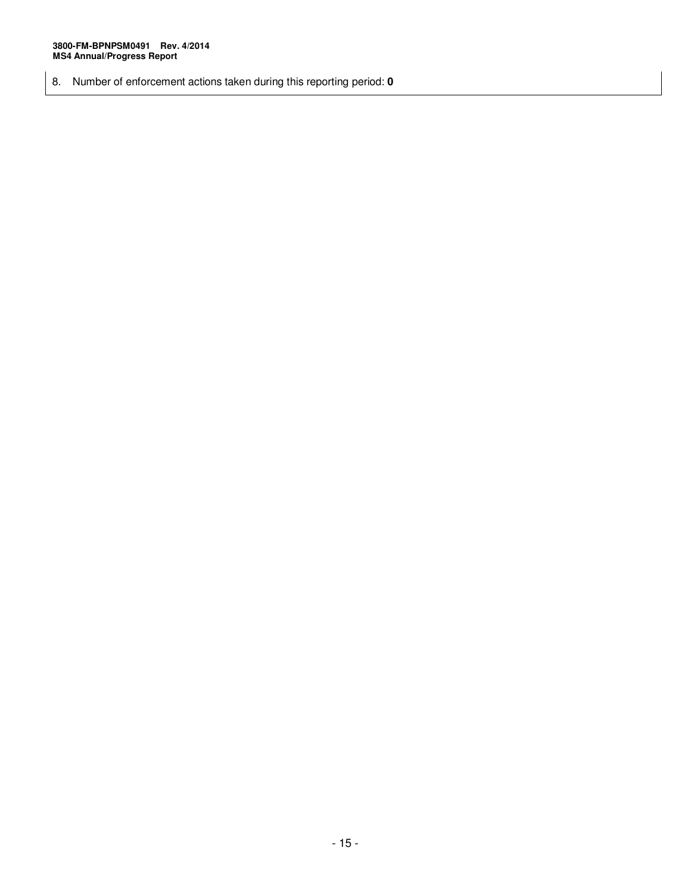8. Number of enforcement actions taken during this reporting period: **0**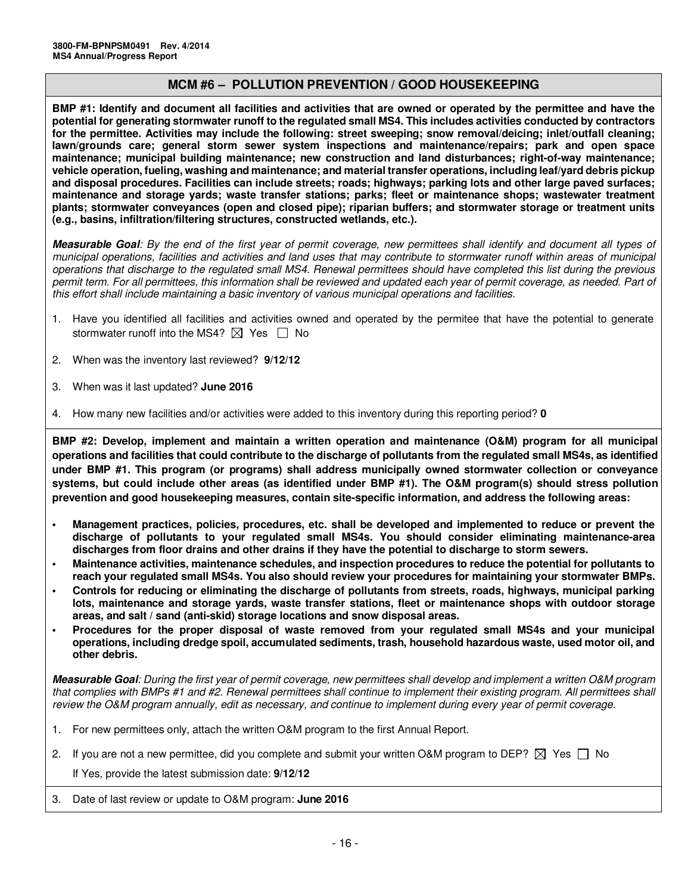# **MCM #6 – POLLUTION PREVENTION / GOOD HOUSEKEEPING**

**BMP #1: Identify and document all facilities and activities that are owned or operated by the permittee and have the potential for generating stormwater runoff to the regulated small MS4. This includes activities conducted by contractors for the permittee. Activities may include the following: street sweeping; snow removal/deicing; inlet/outfall cleaning; lawn/grounds care; general storm sewer system inspections and maintenance/repairs; park and open space maintenance; municipal building maintenance; new construction and land disturbances; right-of-way maintenance; vehicle operation, fueling, washing and maintenance; and material transfer operations, including leaf/yard debris pickup and disposal procedures. Facilities can include streets; roads; highways; parking lots and other large paved surfaces; maintenance and storage yards; waste transfer stations; parks; fleet or maintenance shops; wastewater treatment plants; stormwater conveyances (open and closed pipe); riparian buffers; and stormwater storage or treatment units (e.g., basins, infiltration/filtering structures, constructed wetlands, etc.).** 

**Measurable Goal***: By the end of the first year of permit coverage, new permittees shall identify and document all types of municipal operations, facilities and activities and land uses that may contribute to stormwater runoff within areas of municipal operations that discharge to the regulated small MS4. Renewal permittees should have completed this list during the previous permit term. For all permittees, this information shall be reviewed and updated each year of permit coverage, as needed. Part of this effort shall include maintaining a basic inventory of various municipal operations and facilities.*

- 1. Have you identified all facilities and activities owned and operated by the permitee that have the potential to generate stormwater runoff into the MS4?  $\boxtimes$  Yes  $\Box$  No
- 2. When was the inventory last reviewed? **9/12/12**
- 3. When was it last updated? **June 2016**
- 4. How many new facilities and/or activities were added to this inventory during this reporting period? **0**

**BMP #2: Develop, implement and maintain a written operation and maintenance (O&M) program for all municipal operations and facilities that could contribute to the discharge of pollutants from the regulated small MS4s, as identified under BMP #1. This program (or programs) shall address municipally owned stormwater collection or conveyance systems, but could include other areas (as identified under BMP #1). The O&M program(s) should stress pollution prevention and good housekeeping measures, contain site-specific information, and address the following areas:**

- **Management practices, policies, procedures, etc. shall be developed and implemented to reduce or prevent the discharge of pollutants to your regulated small MS4s. You should consider eliminating maintenance-area discharges from floor drains and other drains if they have the potential to discharge to storm sewers.**
- **Maintenance activities, maintenance schedules, and inspection procedures to reduce the potential for pollutants to reach your regulated small MS4s. You also should review your procedures for maintaining your stormwater BMPs.**
- **Controls for reducing or eliminating the discharge of pollutants from streets, roads, highways, municipal parking lots, maintenance and storage yards, waste transfer stations, fleet or maintenance shops with outdoor storage areas, and salt / sand (anti-skid) storage locations and snow disposal areas.**
- **Procedures for the proper disposal of waste removed from your regulated small MS4s and your municipal operations, including dredge spoil, accumulated sediments, trash, household hazardous waste, used motor oil, and other debris.**

**Measurable Goal***: During the first year of permit coverage, new permittees shall develop and implement a written O&M program that complies with BMPs #1 and #2. Renewal permittees shall continue to implement their existing program. All permittees shall review the O&M program annually, edit as necessary, and continue to implement during every year of permit coverage.*

- 1. For new permittees only, attach the written O&M program to the first Annual Report.
- 2. If you are not a new permittee, did you complete and submit your written O&M program to DEP?  $\boxtimes$  Yes  $\Box$  No

If Yes, provide the latest submission date: **9/12/12**

3. Date of last review or update to O&M program: **June 2016**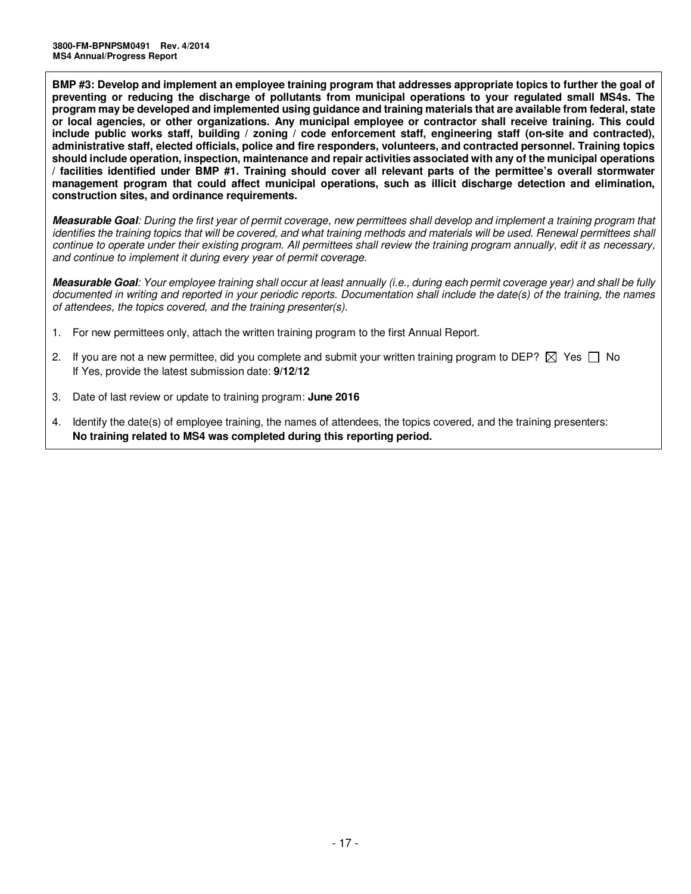**BMP #3: Develop and implement an employee training program that addresses appropriate topics to further the goal of preventing or reducing the discharge of pollutants from municipal operations to your regulated small MS4s. The program may be developed and implemented using guidance and training materials that are available from federal, state or local agencies, or other organizations. Any municipal employee or contractor shall receive training. This could include public works staff, building / zoning / code enforcement staff, engineering staff (on-site and contracted), administrative staff, elected officials, police and fire responders, volunteers, and contracted personnel. Training topics should include operation, inspection, maintenance and repair activities associated with any of the municipal operations / facilities identified under BMP #1. Training should cover all relevant parts of the permittee's overall stormwater management program that could affect municipal operations, such as illicit discharge detection and elimination, construction sites, and ordinance requirements.**

**Measurable Goal***: During the first year of permit coverage, new permittees shall develop and implement a training program that*  identifies the training topics that will be covered, and what training methods and materials will be used. Renewal permittees shall *continue to operate under their existing program. All permittees shall review the training program annually, edit it as necessary, and continue to implement it during every year of permit coverage.*

**Measurable Goal***: Your employee training shall occur at least annually (i.e., during each permit coverage year) and shall be fully documented in writing and reported in your periodic reports. Documentation shall include the date(s) of the training, the names of attendees, the topics covered, and the training presenter(s).*

- 1. For new permittees only, attach the written training program to the first Annual Report.
- 2. If you are not a new permittee, did you complete and submit your written training program to DEP?  $\boxtimes$  Yes  $\Box$  No If Yes, provide the latest submission date: **9/12/12**
- 3. Date of last review or update to training program: **June 2016**
- 4. Identify the date(s) of employee training, the names of attendees, the topics covered, and the training presenters: **No training related to MS4 was completed during this reporting period.**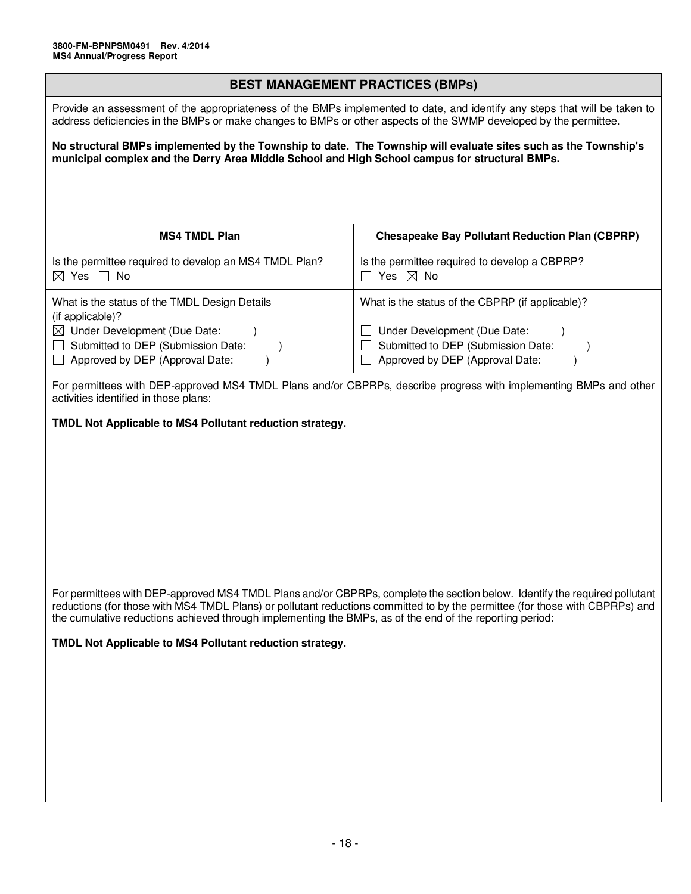| <b>BEST MANAGEMENT PRACTICES (BMPs)</b>                                                                                                                                                                                                                                                                                                                                |                                                                                                                   |  |  |  |  |  |  |
|------------------------------------------------------------------------------------------------------------------------------------------------------------------------------------------------------------------------------------------------------------------------------------------------------------------------------------------------------------------------|-------------------------------------------------------------------------------------------------------------------|--|--|--|--|--|--|
| Provide an assessment of the appropriateness of the BMPs implemented to date, and identify any steps that will be taken to<br>address deficiencies in the BMPs or make changes to BMPs or other aspects of the SWMP developed by the permittee.                                                                                                                        |                                                                                                                   |  |  |  |  |  |  |
| No structural BMPs implemented by the Township to date. The Township will evaluate sites such as the Township's<br>municipal complex and the Derry Area Middle School and High School campus for structural BMPs.                                                                                                                                                      |                                                                                                                   |  |  |  |  |  |  |
|                                                                                                                                                                                                                                                                                                                                                                        |                                                                                                                   |  |  |  |  |  |  |
|                                                                                                                                                                                                                                                                                                                                                                        |                                                                                                                   |  |  |  |  |  |  |
| <b>MS4 TMDL Plan</b>                                                                                                                                                                                                                                                                                                                                                   | <b>Chesapeake Bay Pollutant Reduction Plan (CBPRP)</b>                                                            |  |  |  |  |  |  |
| Is the permittee required to develop an MS4 TMDL Plan?<br>$\boxtimes$ Yes $\Box$ No                                                                                                                                                                                                                                                                                    | Is the permittee required to develop a CBPRP?<br>$\Box$ Yes $\boxtimes$ No                                        |  |  |  |  |  |  |
| What is the status of the TMDL Design Details                                                                                                                                                                                                                                                                                                                          | What is the status of the CBPRP (if applicable)?                                                                  |  |  |  |  |  |  |
| (if applicable)?<br>$\boxtimes$ Under Development (Due Date:<br>□ Submitted to DEP (Submission Date:                                                                                                                                                                                                                                                                   | Under Development (Due Date:<br>Submitted to DEP (Submission Date:                                                |  |  |  |  |  |  |
| $\Box$ Approved by DEP (Approval Date:                                                                                                                                                                                                                                                                                                                                 | Approved by DEP (Approval Date:                                                                                   |  |  |  |  |  |  |
| activities identified in those plans:                                                                                                                                                                                                                                                                                                                                  | For permittees with DEP-approved MS4 TMDL Plans and/or CBPRPs, describe progress with implementing BMPs and other |  |  |  |  |  |  |
| TMDL Not Applicable to MS4 Pollutant reduction strategy.                                                                                                                                                                                                                                                                                                               |                                                                                                                   |  |  |  |  |  |  |
|                                                                                                                                                                                                                                                                                                                                                                        |                                                                                                                   |  |  |  |  |  |  |
|                                                                                                                                                                                                                                                                                                                                                                        |                                                                                                                   |  |  |  |  |  |  |
|                                                                                                                                                                                                                                                                                                                                                                        |                                                                                                                   |  |  |  |  |  |  |
|                                                                                                                                                                                                                                                                                                                                                                        |                                                                                                                   |  |  |  |  |  |  |
|                                                                                                                                                                                                                                                                                                                                                                        |                                                                                                                   |  |  |  |  |  |  |
|                                                                                                                                                                                                                                                                                                                                                                        |                                                                                                                   |  |  |  |  |  |  |
| For permittees with DEP-approved MS4 TMDL Plans and/or CBPRPs, complete the section below. Identify the required pollutant<br>reductions (for those with MS4 TMDL Plans) or pollutant reductions committed to by the permittee (for those with CBPRPs) and<br>the cumulative reductions achieved through implementing the BMPs, as of the end of the reporting period: |                                                                                                                   |  |  |  |  |  |  |
| TMDL Not Applicable to MS4 Pollutant reduction strategy.                                                                                                                                                                                                                                                                                                               |                                                                                                                   |  |  |  |  |  |  |
|                                                                                                                                                                                                                                                                                                                                                                        |                                                                                                                   |  |  |  |  |  |  |
|                                                                                                                                                                                                                                                                                                                                                                        |                                                                                                                   |  |  |  |  |  |  |
|                                                                                                                                                                                                                                                                                                                                                                        |                                                                                                                   |  |  |  |  |  |  |
|                                                                                                                                                                                                                                                                                                                                                                        |                                                                                                                   |  |  |  |  |  |  |
|                                                                                                                                                                                                                                                                                                                                                                        |                                                                                                                   |  |  |  |  |  |  |
|                                                                                                                                                                                                                                                                                                                                                                        |                                                                                                                   |  |  |  |  |  |  |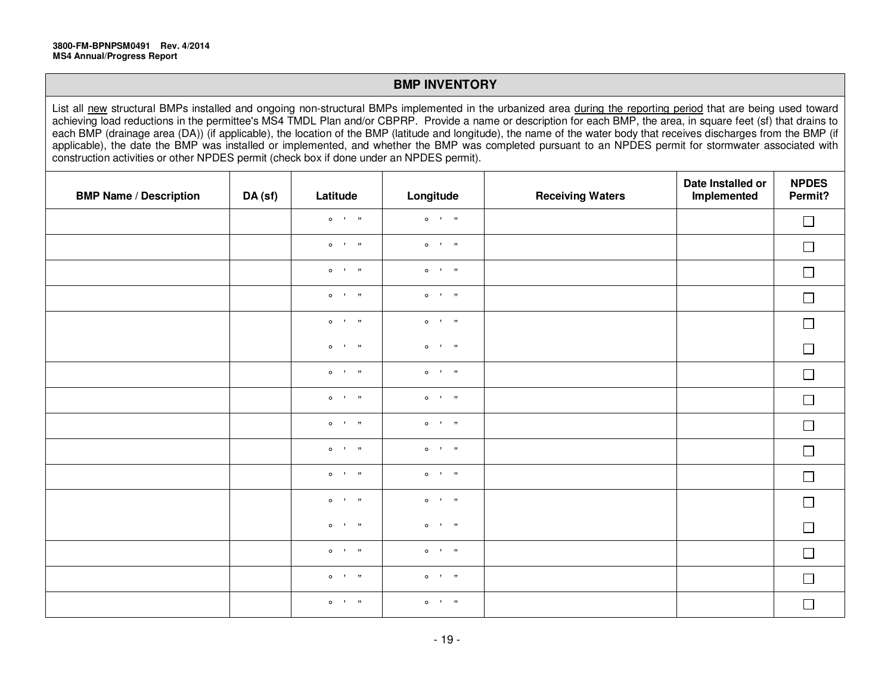# **BMP INVENTORY**

List all new structural BMPs installed and ongoing non-structural BMPs implemented in the urbanized area during the reporting period that are being used toward achieving load reductions in the permittee's MS4 TMDL Plan and/or CBPRP. Provide a name or description for each BMP, the area, in square feet (sf) that drains to each BMP (drainage area (DA)) (if applicable), the location of the BMP (latitude and longitude), the name of the water body that receives discharges from the BMP (if applicable), the date the BMP was installed or implemented, and whether the BMP was completed pursuant to an NPDES permit for stormwater associated with construction activities or other NPDES permit (check box if done under an NPDES permit).

 $\overline{\phantom{a}}$ 

| <b>BMP Name / Description</b> | DA (sf) | Latitude               | Longitude             | <b>Receiving Waters</b> | Date Installed or<br>Implemented | <b>NPDES</b><br>Permit? |
|-------------------------------|---------|------------------------|-----------------------|-------------------------|----------------------------------|-------------------------|
|                               |         | $0 \qquad$ , $\qquad$  | $0 \qquad$ , ,,       |                         |                                  | $\Box$                  |
|                               |         | $0 \qquad$ , $n$       | $0 \qquad$ , $\qquad$ |                         |                                  | $\Box$                  |
|                               |         | $0 \qquad$ , $\qquad$  | $0 \qquad$ , $\qquad$ |                         |                                  | $\Box$                  |
|                               |         | $0 \qquad$ , $\qquad$  | $0 \qquad$ , $\qquad$ |                         |                                  | $\Box$                  |
|                               |         | $0 \qquad$ , $\qquad$  | $0 \qquad$ , $\qquad$ |                         |                                  | $\Box$                  |
|                               |         | $0 \qquad$ , $\qquad$  | $0 \qquad$ , $\qquad$ |                         |                                  | $\Box$                  |
|                               |         | $0 \qquad$ , $\qquad$  | $0 \qquad$ , $\qquad$ |                         |                                  | $\Box$                  |
|                               |         | $0 \qquad$ , $\qquad$  | $0 \qquad$ , $\qquad$ |                         |                                  | $\Box$                  |
|                               |         | $0 \qquad$ , $\qquad$  | $0 \qquad$ , $\qquad$ |                         |                                  | $\Box$                  |
|                               |         | $0 \qquad$ , $\qquad$  | $0 \qquad$ , $\qquad$ |                         |                                  | $\Box$                  |
|                               |         | $0 \qquad$ , $\qquad$  | $0 \qquad$ , $\qquad$ |                         |                                  | $\Box$                  |
|                               |         | $0 \qquad$ , $\qquad$  | $0 \qquad$ , $\qquad$ |                         |                                  | $\Box$                  |
|                               |         | $0 \qquad$ , $\qquad$  | $0 \qquad$ , $\qquad$ |                         |                                  | $\Box$                  |
|                               |         | $0 \qquad$ , $\qquad$  | $0 \qquad$ , $\qquad$ |                         |                                  | $\Box$                  |
|                               |         | $0 \qquad 1 \qquad 11$ | $0 \qquad$ , $\qquad$ |                         |                                  | $\Box$                  |
|                               |         | $0 \qquad$ , $n$       | $0 \qquad$ , $\qquad$ |                         |                                  | $\Box$                  |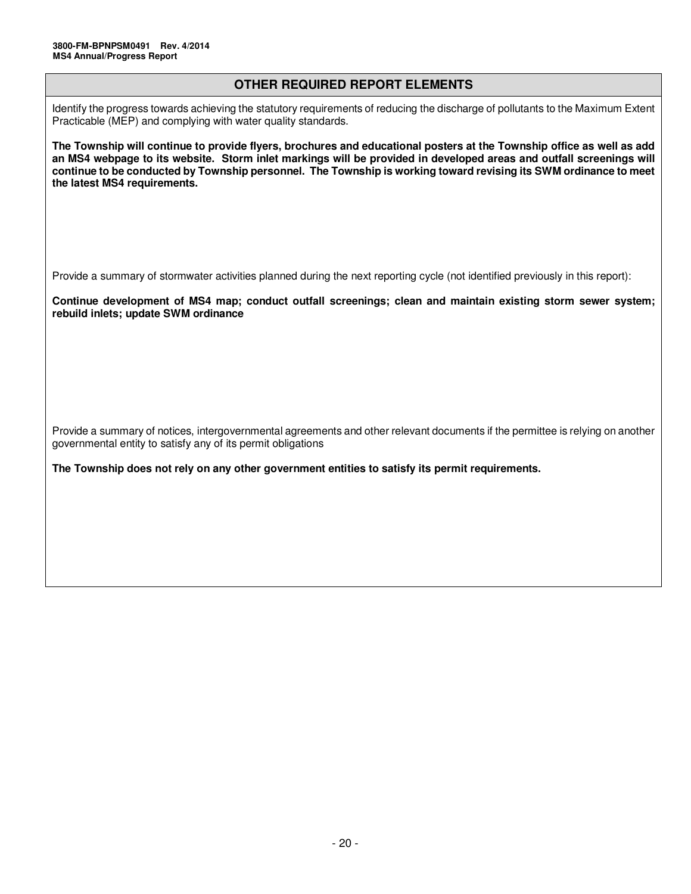# **OTHER REQUIRED REPORT ELEMENTS**

Identify the progress towards achieving the statutory requirements of reducing the discharge of pollutants to the Maximum Extent Practicable (MEP) and complying with water quality standards.

**The Township will continue to provide flyers, brochures and educational posters at the Township office as well as add an MS4 webpage to its website. Storm inlet markings will be provided in developed areas and outfall screenings will continue to be conducted by Township personnel. The Township is working toward revising its SWM ordinance to meet the latest MS4 requirements.** 

Provide a summary of stormwater activities planned during the next reporting cycle (not identified previously in this report):

**Continue development of MS4 map; conduct outfall screenings; clean and maintain existing storm sewer system; rebuild inlets; update SWM ordinance**

Provide a summary of notices, intergovernmental agreements and other relevant documents if the permittee is relying on another governmental entity to satisfy any of its permit obligations

**The Township does not rely on any other government entities to satisfy its permit requirements.**